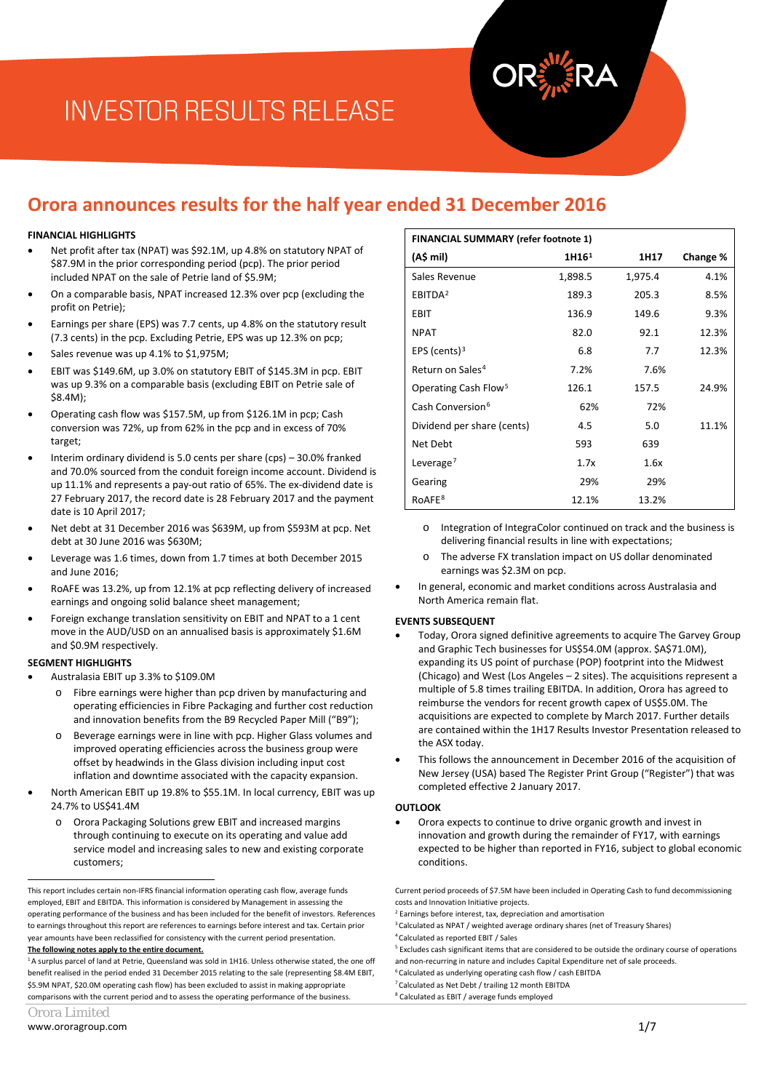# **INVESTOR RESULTS RELEASE**

### **Orora announces results for the half year ended 31 December 2016**

#### **FINANCIAL HIGHLIGHTS**

- Net profit after tax (NPAT) was \$92.1M, up 4.8% on statutory NPAT of \$87.9M in the prior corresponding period (pcp). The prior period included NPAT on the sale of Petrie land of \$5.9M;
- On a comparable basis, NPAT increased 12.3% over pcp (excluding the profit on Petrie);
- Earnings per share (EPS) was 7.7 cents, up 4.8% on the statutory result (7.3 cents) in the pcp. Excluding Petrie, EPS was up 12.3% on pcp;
- Sales revenue was up 4.1% to \$1,975M;
- EBIT was \$149.6M, up 3.0% on statutory EBIT of \$145.3M in pcp. EBIT was up 9.3% on a comparable basis (excluding EBIT on Petrie sale of  $$8$   $4M$
- Operating cash flow was \$157.5M, up from \$126.1M in pcp; Cash conversion was 72%, up from 62% in the pcp and in excess of 70% target;
- Interim ordinary dividend is 5.0 cents per share (cps) 30.0% franked and 70.0% sourced from the conduit foreign income account. Dividend is up 11.1% and represents a pay-out ratio of 65%. The ex-dividend date is 27 February 2017, the record date is 28 February 2017 and the payment date is 10 April 2017;
- Net debt at 31 December 2016 was \$639M, up from \$593M at pcp. Net debt at 30 June 2016 was \$630M;
- Leverage was 1.6 times, down from 1.7 times at both December 2015 and June 2016;
- RoAFE was 13.2%, up from 12.1% at pcp reflecting delivery of increased earnings and ongoing solid balance sheet management;
- Foreign exchange translation sensitivity on EBIT and NPAT to a 1 cent move in the AUD/USD on an annualised basis is approximately \$1.6M and \$0.9M respectively.

#### **SEGMENT HIGHLIGHTS**

- Australasia EBIT up 3.3% to \$109.0M
	- Fibre earnings were higher than pcp driven by manufacturing and operating efficiencies in Fibre Packaging and further cost reduction and innovation benefits from the B9 Recycled Paper Mill ("B9");
	- o Beverage earnings were in line with pcp. Higher Glass volumes and improved operating efficiencies across the business group were offset by headwinds in the Glass division including input cost inflation and downtime associated with the capacity expansion.
- North American EBIT up 19.8% to \$55.1M. In local currency, EBIT was up 24.7% to US\$41.4M
	- Orora Packaging Solutions grew EBIT and increased margins through continuing to execute on its operating and value add service model and increasing sales to new and existing corporate customers;

<span id="page-0-6"></span><span id="page-0-5"></span><span id="page-0-4"></span><span id="page-0-3"></span><span id="page-0-2"></span> $1_A$  surplus parcel of land at Petrie, Queensland was sold in 1H16. Unless otherwise stated, the one off benefit realised in the period ended 31 December 2015 relating to the sale (representing \$8.4M EBIT, \$5.9M NPAT, \$20.0M operating cash flow) has been excluded to assist in making appropriate comparisons with the current period and to assess the operating performance of the business.

<span id="page-0-7"></span>

| Orora Limited |  |
|---------------|--|
|---------------|--|

-

| <b>FINANCIAL SUMMARY (refer footnote 1)</b> |                   |         |          |
|---------------------------------------------|-------------------|---------|----------|
| (A\$ mil)                                   | 1H16 <sup>1</sup> | 1H17    | Change % |
| Sales Revenue                               | 1,898.5           | 1,975.4 | 4.1%     |
| EBITDA <sup>2</sup>                         | 189.3             | 205.3   | 8.5%     |
| EBIT                                        | 136.9             | 149.6   | 9.3%     |
| <b>NPAT</b>                                 | 82.0              | 92.1    | 12.3%    |
| EPS (cents) $3$                             | 6.8               | 7.7     | 12.3%    |
| Return on Sales <sup>4</sup>                | 7.2%              | 7.6%    |          |
| Operating Cash Flow <sup>5</sup>            | 126.1             | 157.5   | 24.9%    |
| Cash Conversion <sup>6</sup>                | 62%               | 72%     |          |
| Dividend per share (cents)                  | 4.5               | 5.0     | 11.1%    |
| Net Debt                                    | 593               | 639     |          |
| Leverage <sup>7</sup>                       | 1.7x              | 1.6x    |          |
| Gearing                                     | 29%               | 29%     |          |
| RoAFE <sup>8</sup>                          | 12.1%             | 13.2%   |          |

- o Integration of IntegraColor continued on track and the business is delivering financial results in line with expectations;
- o The adverse FX translation impact on US dollar denominated earnings was \$2.3M on pcp.
- In general, economic and market conditions across Australasia and North America remain flat.

#### **EVENTS SUBSEQUENT**

- Today, Orora signed definitive agreements to acquire The Garvey Group and Graphic Tech businesses for US\$54.0M (approx. \$A\$71.0M), expanding its US point of purchase (POP) footprint into the Midwest (Chicago) and West (Los Angeles – 2 sites). The acquisitions represent a multiple of 5.8 times trailing EBITDA. In addition, Orora has agreed to reimburse the vendors for recent growth capex of US\$5.0M. The acquisitions are expected to complete by March 2017. Further details are contained within the 1H17 Results Investor Presentation released to the ASX today.
- This follows the announcement in December 2016 of the acquisition of New Jersey (USA) based The Register Print Group ("Register") that was completed effective 2 January 2017.

#### **OUTLOOK**

• Orora expects to continue to drive organic growth and invest in innovation and growth during the remainder of FY17, with earnings expected to be higher than reported in FY16, subject to global economic conditions.

Current period proceeds of \$7.5M have been included in Operating Cash to fund decommissioning costs and Innovation Initiative projects.

- <sup>6</sup> Calculated as underlying operating cash flow / cash EBITDA
- <sup>7</sup> Calculated as Net Debt / trailing 12 month EBITDA
- <sup>8</sup> Calculated as EBIT / average funds employed

<span id="page-0-1"></span><span id="page-0-0"></span>This report includes certain non-IFRS financial information operating cash flow, average funds employed, EBIT and EBITDA. This information is considered by Management in assessing the operating performance of the business and has been included for the benefit of investors. References to earnings throughout this report are references to earnings before interest and tax. Certain prior year amounts have been reclassified for consistency with the current period presentation. **The following notes apply to the entire document.**

<sup>&</sup>lt;sup>2</sup> Earnings before interest, tax, depreciation and amortisation

<sup>&</sup>lt;sup>3</sup> Calculated as NPAT / weighted average ordinary shares (net of Treasury Shares)

<sup>4</sup> Calculated as reported EBIT / Sales

<sup>&</sup>lt;sup>5</sup> Excludes cash significant items that are considered to be outside the ordinary course of operations and non-recurring in nature and includes Capital Expenditure net of sale proceeds.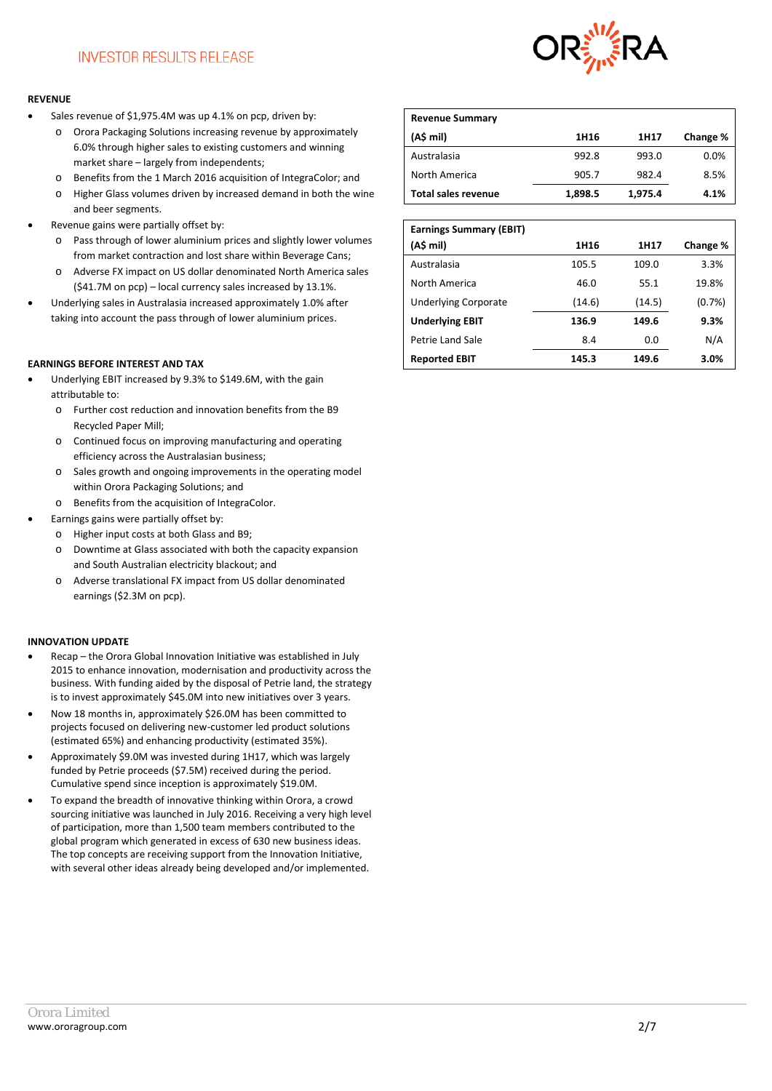

#### **REVENUE**

- Sales revenue of \$1,975.4M was up 4.1% on pcp, driven by:
	- o Orora Packaging Solutions increasing revenue by approximately 6.0% through higher sales to existing customers and winning market share – largely from independents;
	- o Benefits from the 1 March 2016 acquisition of IntegraColor; and o Higher Glass volumes driven by increased demand in both the wine and beer segments.
- Revenue gains were partially offset by:
	- o Pass through of lower aluminium prices and slightly lower volumes from market contraction and lost share within Beverage Cans;
	- o Adverse FX impact on US dollar denominated North America sales (\$41.7M on pcp) – local currency sales increased by 13.1%.
- Underlying sales in Australasia increased approximately 1.0% after taking into account the pass through of lower aluminium prices.

#### **EARNINGS BEFORE INTEREST AND TAX**

- Underlying EBIT increased by 9.3% to \$149.6M, with the gain attributable to:
	- o Further cost reduction and innovation benefits from the B9 Recycled Paper Mill;
	- o Continued focus on improving manufacturing and operating efficiency across the Australasian business;
	- o Sales growth and ongoing improvements in the operating model within Orora Packaging Solutions; and
	- o Benefits from the acquisition of IntegraColor.
- Earnings gains were partially offset by:
	- o Higher input costs at both Glass and B9;
	- o Downtime at Glass associated with both the capacity expansion and South Australian electricity blackout; and
	- o Adverse translational FX impact from US dollar denominated earnings (\$2.3M on pcp).

#### **INNOVATION UPDATE**

- Recap the Orora Global Innovation Initiative was established in July 2015 to enhance innovation, modernisation and productivity across the business. With funding aided by the disposal of Petrie land, the strategy is to invest approximately \$45.0M into new initiatives over 3 years.
- Now 18 months in, approximately \$26.0M has been committed to projects focused on delivering new-customer led product solutions (estimated 65%) and enhancing productivity (estimated 35%).
- Approximately \$9.0M was invested during 1H17, which was largely funded by Petrie proceeds (\$7.5M) received during the period. Cumulative spend since inception is approximately \$19.0M.
- To expand the breadth of innovative thinking within Orora, a crowd sourcing initiative was launched in July 2016. Receiving a very high level of participation, more than 1,500 team members contributed to the global program which generated in excess of 630 new business ideas. The top concepts are receiving support from the Innovation Initiative, with several other ideas already being developed and/or implemented.

| <b>Revenue Summary</b>     |         |         |          |
|----------------------------|---------|---------|----------|
| (A\$ mil)                  | 1H16    | 1H17    | Change % |
| Australasia                | 992.8   | 993.0   | 0.0%     |
| North America              | 905.7   | 982.4   | 8.5%     |
| <b>Total sales revenue</b> | 1,898.5 | 1,975.4 | 4.1%     |

| <b>Earnings Summary (EBIT)</b> |        |        |          |
|--------------------------------|--------|--------|----------|
| (A\$ mil)                      | 1H16   | 1H17   | Change % |
| Australasia                    | 105.5  | 109.0  | 3.3%     |
| North America                  | 46.0   | 55.1   | 19.8%    |
| <b>Underlying Corporate</b>    | (14.6) | (14.5) | (0.7%)   |
| <b>Underlying EBIT</b>         | 136.9  | 149.6  | 9.3%     |
| Petrie Land Sale               | 8.4    | 0.0    | N/A      |
| <b>Reported EBIT</b>           | 145.3  | 149.6  | 3.0%     |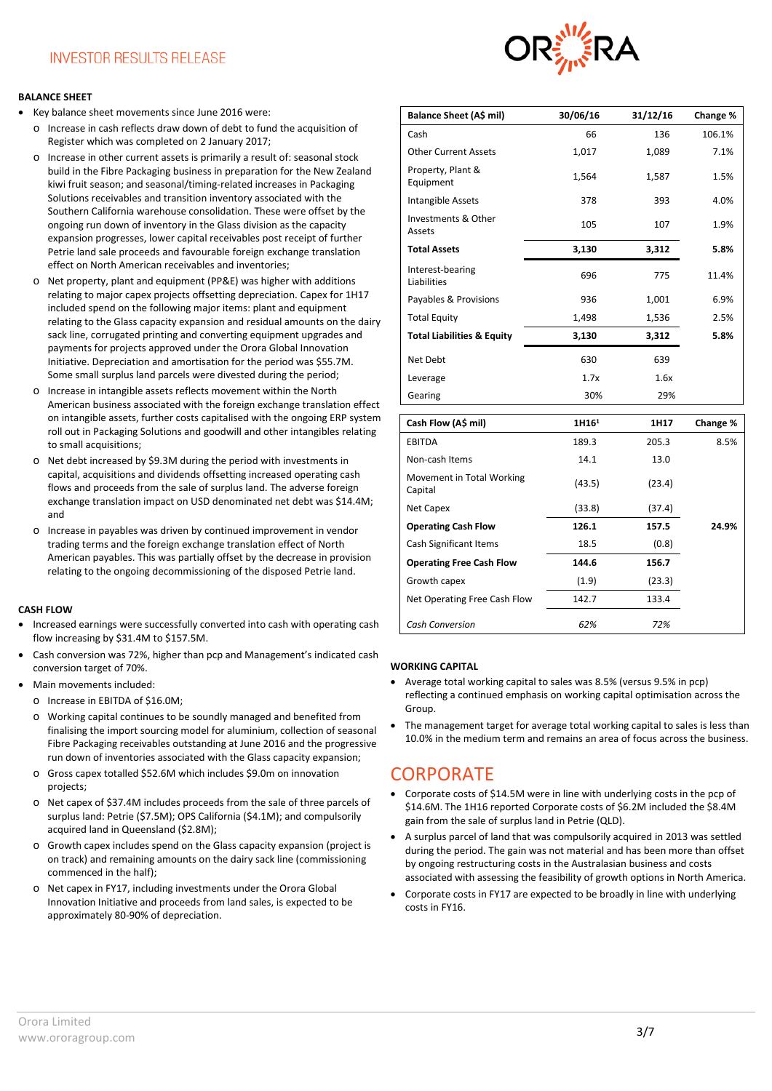### **INVESTOR RESULTS RELEASE**

#### **BALANCE SHEET**

- Key balance sheet movements since June 2016 were:
	- o Increase in cash reflects draw down of debt to fund the acquisition of Register which was completed on 2 January 2017;
	- o Increase in other current assets is primarily a result of: seasonal stock build in the Fibre Packaging business in preparation for the New Zealand kiwi fruit season; and seasonal/timing-related increases in Packaging Solutions receivables and transition inventory associated with the Southern California warehouse consolidation. These were offset by the ongoing run down of inventory in the Glass division as the capacity expansion progresses, lower capital receivables post receipt of further Petrie land sale proceeds and favourable foreign exchange translation effect on North American receivables and inventories;
	- o Net property, plant and equipment (PP&E) was higher with additions relating to major capex projects offsetting depreciation. Capex for 1H17 included spend on the following major items: plant and equipment relating to the Glass capacity expansion and residual amounts on the dairy sack line, corrugated printing and converting equipment upgrades and payments for projects approved under the Orora Global Innovation Initiative. Depreciation and amortisation for the period was \$55.7M. Some small surplus land parcels were divested during the period;
	- o Increase in intangible assets reflects movement within the North American business associated with the foreign exchange translation effect on intangible assets, further costs capitalised with the ongoing ERP system roll out in Packaging Solutions and goodwill and other intangibles relating to small acquisitions;
	- o Net debt increased by \$9.3M during the period with investments in capital, acquisitions and dividends offsetting increased operating cash flows and proceeds from the sale of surplus land. The adverse foreign exchange translation impact on USD denominated net debt was \$14.4M; and
	- o Increase in payables was driven by continued improvement in vendor trading terms and the foreign exchange translation effect of North American payables. This was partially offset by the decrease in provision relating to the ongoing decommissioning of the disposed Petrie land.

#### **CASH FLOW**

- Increased earnings were successfully converted into cash with operating cash flow increasing by \$31.4M to \$157.5M.
- Cash conversion was 72%, higher than pcp and Management's indicated cash conversion target of 70%.
- Main movements included:
	- o Increase in EBITDA of \$16.0M;
	- o Working capital continues to be soundly managed and benefited from finalising the import sourcing model for aluminium, collection of seasonal Fibre Packaging receivables outstanding at June 2016 and the progressive run down of inventories associated with the Glass capacity expansion;
	- o Gross capex totalled \$52.6M which includes \$9.0m on innovation projects;
	- o Net capex of \$37.4M includes proceeds from the sale of three parcels of surplus land: Petrie (\$7.5M); OPS California (\$4.1M); and compulsorily acquired land in Queensland (\$2.8M);
	- o Growth capex includes spend on the Glass capacity expansion (project is on track) and remaining amounts on the dairy sack line (commissioning commenced in the half);
	- o Net capex in FY17, including investments under the Orora Global Innovation Initiative and proceeds from land sales, is expected to be approximately 80-90% of depreciation.



| Balance Sheet (A\$ mil)                  | 30/06/16 | 31/12/16 | Change % |
|------------------------------------------|----------|----------|----------|
| Cash                                     | 66       | 136      | 106.1%   |
| <b>Other Current Assets</b>              | 1,017    | 1,089    | 7.1%     |
| Property, Plant &<br>Equipment           | 1,564    | 1,587    | 1.5%     |
| Intangible Assets                        | 378      | 393      | 4.0%     |
| <b>Investments &amp; Other</b><br>Assets | 105      | 107      | 1.9%     |
| <b>Total Assets</b>                      | 3,130    | 3,312    | 5.8%     |
| Interest-bearing<br>Liabilities          | 696      | 775      | 11.4%    |
| Payables & Provisions                    | 936      | 1,001    | 6.9%     |
| <b>Total Equity</b>                      | 1,498    | 1,536    | 2.5%     |
| <b>Total Liabilities &amp; Equity</b>    | 3,130    | 3,312    | 5.8%     |
| Net Debt                                 | 630      | 639      |          |
| Leverage                                 | 1.7x     | 1.6x     |          |
| Gearing                                  | 30%      | 29%      |          |
|                                          |          |          |          |

| Cash Flow (A\$ mil)                  | 1H16 <sup>1</sup> | 1H17   | Change % |
|--------------------------------------|-------------------|--------|----------|
| <b>EBITDA</b>                        | 189.3             | 205.3  | 8.5%     |
| Non-cash Items                       | 14.1              | 13.0   |          |
| Movement in Total Working<br>Capital | (43.5)            | (23.4) |          |
| Net Capex                            | (33.8)            | (37.4) |          |
| <b>Operating Cash Flow</b>           | 126.1             | 157.5  | 24.9%    |
| <b>Cash Significant Items</b>        | 18.5              | (0.8)  |          |
| <b>Operating Free Cash Flow</b>      | 144.6             | 156.7  |          |
| Growth capex                         | (1.9)             | (23.3) |          |
| Net Operating Free Cash Flow         | 142.7             | 133.4  |          |
| <b>Cash Conversion</b>               | 62%               | 72%    |          |

#### **WORKING CAPITAL**

- Average total working capital to sales was 8.5% (versus 9.5% in pcp) reflecting a continued emphasis on working capital optimisation across the Group.
- The management target for average total working capital to sales is less than 10.0% in the medium term and remains an area of focus across the business.

#### **CORPORATE**

- Corporate costs of \$14.5M were in line with underlying costs in the pcp of \$14.6M. The 1H16 reported Corporate costs of \$6.2M included the \$8.4M gain from the sale of surplus land in Petrie (QLD).
- A surplus parcel of land that was compulsorily acquired in 2013 was settled during the period. The gain was not material and has been more than offset by ongoing restructuring costs in the Australasian business and costs associated with assessing the feasibility of growth options in North America.
- Corporate costs in FY17 are expected to be broadly in line with underlying costs in FY16.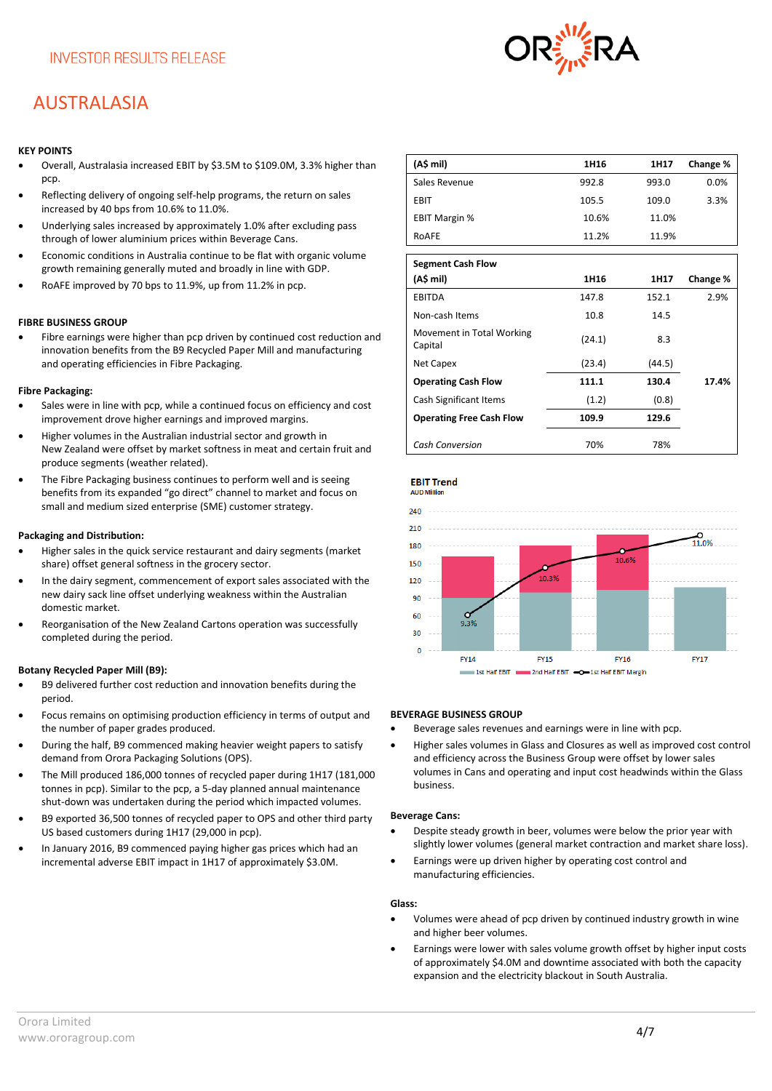### AUSTRALASIA

#### **KEY POINTS**

- Overall, Australasia increased EBIT by \$3.5M to \$109.0M, 3.3% higher than pcp.
- Reflecting delivery of ongoing self-help programs, the return on sales increased by 40 bps from 10.6% to 11.0%.
- Underlying sales increased by approximately 1.0% after excluding pass through of lower aluminium prices within Beverage Cans.
- Economic conditions in Australia continue to be flat with organic volume growth remaining generally muted and broadly in line with GDP.
- RoAFE improved by 70 bps to 11.9%, up from 11.2% in pcp.

#### **FIBRE BUSINESS GROUP**

• Fibre earnings were higher than pcp driven by continued cost reduction and innovation benefits from the B9 Recycled Paper Mill and manufacturing and operating efficiencies in Fibre Packaging.

#### **Fibre Packaging:**

- Sales were in line with pcp, while a continued focus on efficiency and cost improvement drove higher earnings and improved margins.
- Higher volumes in the Australian industrial sector and growth in New Zealand were offset by market softness in meat and certain fruit and produce segments (weather related).
- The Fibre Packaging business continues to perform well and is seeing benefits from its expanded "go direct" channel to market and focus on small and medium sized enterprise (SME) customer strategy.

#### **Packaging and Distribution:**

- Higher sales in the quick service restaurant and dairy segments (market share) offset general softness in the grocery sector.
- In the dairy segment, commencement of export sales associated with the new dairy sack line offset underlying weakness within the Australian domestic market.
- Reorganisation of the New Zealand Cartons operation was successfully completed during the period.

#### **Botany Recycled Paper Mill (B9):**

- B9 delivered further cost reduction and innovation benefits during the period.
- Focus remains on optimising production efficiency in terms of output and the number of paper grades produced.
- During the half, B9 commenced making heavier weight papers to satisfy demand from Orora Packaging Solutions (OPS).
- The Mill produced 186,000 tonnes of recycled paper during 1H17 (181,000 tonnes in pcp). Similar to the pcp, a 5-day planned annual maintenance shut-down was undertaken during the period which impacted volumes.
- B9 exported 36,500 tonnes of recycled paper to OPS and other third party US based customers during 1H17 (29,000 in pcp).
- In January 2016, B9 commenced paying higher gas prices which had an incremental adverse EBIT impact in 1H17 of approximately \$3.0M.

| (A\$ mil)            | 1H <sub>16</sub> | 1H17  | Change % |
|----------------------|------------------|-------|----------|
| Sales Revenue        | 992.8            | 993.0 | 0.0%     |
| <b>EBIT</b>          | 105.5            | 109.0 | 3.3%     |
| <b>EBIT Margin %</b> | 10.6%            | 11.0% |          |
| ROAFE                | 11.2%            | 11.9% |          |

| <b>Segment Cash Flow</b>             |        |        |          |
|--------------------------------------|--------|--------|----------|
| (A\$ mil)                            | 1H16   | 1H17   | Change % |
| <b>EBITDA</b>                        | 147.8  | 152.1  | 2.9%     |
| Non-cash Items                       | 10.8   | 14.5   |          |
| Movement in Total Working<br>Capital | (24.1) | 8.3    |          |
| Net Capex                            | (23.4) | (44.5) |          |
| <b>Operating Cash Flow</b>           | 111.1  | 130.4  | 17.4%    |
| Cash Significant Items               | (1.2)  | (0.8)  |          |
| <b>Operating Free Cash Flow</b>      | 109.9  | 129.6  |          |
| <b>Cash Conversion</b>               | 70%    | 78%    |          |





#### **BEVERAGE BUSINESS GROUP**

- Beverage sales revenues and earnings were in line with pcp.
- Higher sales volumes in Glass and Closures as well as improved cost control and efficiency across the Business Group were offset by lower sales volumes in Cans and operating and input cost headwinds within the Glass business.

#### **Beverage Cans:**

- Despite steady growth in beer, volumes were below the prior year with slightly lower volumes (general market contraction and market share loss).
- Earnings were up driven higher by operating cost control and manufacturing efficiencies.

#### **Glass:**

- Volumes were ahead of pcp driven by continued industry growth in wine and higher beer volumes.
- Earnings were lower with sales volume growth offset by higher input costs of approximately \$4.0M and downtime associated with both the capacity expansion and the electricity blackout in South Australia.

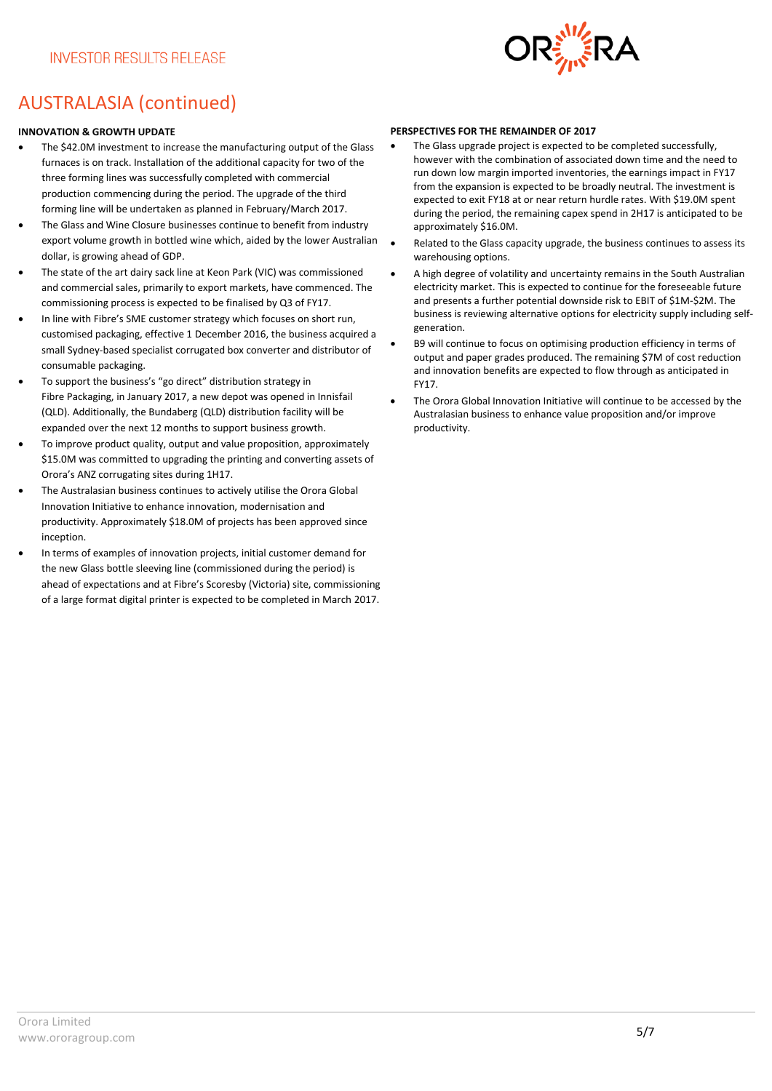

### AUSTRALASIA (continued)

#### **INNOVATION & GROWTH UPDATE**

- The \$42.0M investment to increase the manufacturing output of the Glass furnaces is on track. Installation of the additional capacity for two of the three forming lines was successfully completed with commercial production commencing during the period. The upgrade of the third forming line will be undertaken as planned in February/March 2017.
- The Glass and Wine Closure businesses continue to benefit from industry export volume growth in bottled wine which, aided by the lower Australian dollar, is growing ahead of GDP.
- The state of the art dairy sack line at Keon Park (VIC) was commissioned and commercial sales, primarily to export markets, have commenced. The commissioning process is expected to be finalised by Q3 of FY17.
- In line with Fibre's SME customer strategy which focuses on short run, customised packaging, effective 1 December 2016, the business acquired a small Sydney-based specialist corrugated box converter and distributor of consumable packaging.
- To support the business's "go direct" distribution strategy in Fibre Packaging, in January 2017, a new depot was opened in Innisfail (QLD). Additionally, the Bundaberg (QLD) distribution facility will be expanded over the next 12 months to support business growth.
- To improve product quality, output and value proposition, approximately \$15.0M was committed to upgrading the printing and converting assets of Orora's ANZ corrugating sites during 1H17.
- The Australasian business continues to actively utilise the Orora Global Innovation Initiative to enhance innovation, modernisation and productivity. Approximately \$18.0M of projects has been approved since inception.
- In terms of examples of innovation projects, initial customer demand for the new Glass bottle sleeving line (commissioned during the period) is ahead of expectations and at Fibre's Scoresby (Victoria) site, commissioning of a large format digital printer is expected to be completed in March 2017.

#### **PERSPECTIVES FOR THE REMAINDER OF 2017**

- The Glass upgrade project is expected to be completed successfully, however with the combination of associated down time and the need to run down low margin imported inventories, the earnings impact in FY17 from the expansion is expected to be broadly neutral. The investment is expected to exit FY18 at or near return hurdle rates. With \$19.0M spent during the period, the remaining capex spend in 2H17 is anticipated to be approximately \$16.0M.
- Related to the Glass capacity upgrade, the business continues to assess its warehousing options.
- A high degree of volatility and uncertainty remains in the South Australian electricity market. This is expected to continue for the foreseeable future and presents a further potential downside risk to EBIT of \$1M-\$2M. The business is reviewing alternative options for electricity supply including selfgeneration.
- B9 will continue to focus on optimising production efficiency in terms of output and paper grades produced. The remaining \$7M of cost reduction and innovation benefits are expected to flow through as anticipated in FY17.
- The Orora Global Innovation Initiative will continue to be accessed by the Australasian business to enhance value proposition and/or improve productivity.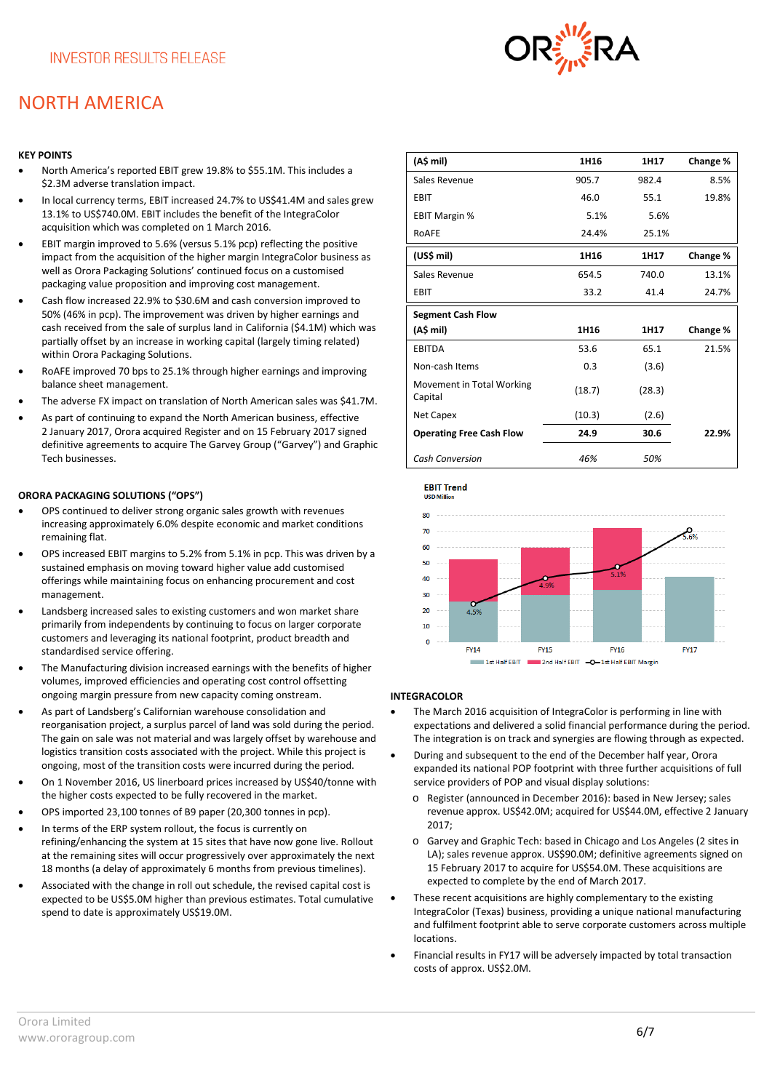### NORTH AMERICA

#### **KEY POINTS**

- North America's reported EBIT grew 19.8% to \$55.1M. This includes a \$2.3M adverse translation impact.
- In local currency terms, EBIT increased 24.7% to US\$41.4M and sales grew 13.1% to US\$740.0M. EBIT includes the benefit of the IntegraColor acquisition which was completed on 1 March 2016.
- EBIT margin improved to 5.6% (versus 5.1% pcp) reflecting the positive impact from the acquisition of the higher margin IntegraColor business as well as Orora Packaging Solutions' continued focus on a customised packaging value proposition and improving cost management.
- Cash flow increased 22.9% to \$30.6M and cash conversion improved to 50% (46% in pcp). The improvement was driven by higher earnings and cash received from the sale of surplus land in California (\$4.1M) which was partially offset by an increase in working capital (largely timing related) within Orora Packaging Solutions.
- RoAFE improved 70 bps to 25.1% through higher earnings and improving balance sheet management.
- The adverse FX impact on translation of North American sales was \$41.7M.
- As part of continuing to expand the North American business, effective 2 January 2017, Orora acquired Register and on 15 February 2017 signed definitive agreements to acquire The Garvey Group ("Garvey") and Graphic Tech businesses.

#### **ORORA PACKAGING SOLUTIONS ("OPS")**

- OPS continued to deliver strong organic sales growth with revenues increasing approximately 6.0% despite economic and market conditions remaining flat.
- OPS increased EBIT margins to 5.2% from 5.1% in pcp. This was driven by a sustained emphasis on moving toward higher value add customised offerings while maintaining focus on enhancing procurement and cost management.
- Landsberg increased sales to existing customers and won market share primarily from independents by continuing to focus on larger corporate customers and leveraging its national footprint, product breadth and standardised service offering.
- The Manufacturing division increased earnings with the benefits of higher volumes, improved efficiencies and operating cost control offsetting ongoing margin pressure from new capacity coming onstream.
- As part of Landsberg's Californian warehouse consolidation and reorganisation project, a surplus parcel of land was sold during the period. The gain on sale was not material and was largely offset by warehouse and logistics transition costs associated with the project. While this project is ongoing, most of the transition costs were incurred during the period.
- On 1 November 2016, US linerboard prices increased by US\$40/tonne with the higher costs expected to be fully recovered in the market.
- OPS imported 23,100 tonnes of B9 paper (20,300 tonnes in pcp).
- In terms of the ERP system rollout, the focus is currently on refining/enhancing the system at 15 sites that have now gone live. Rollout at the remaining sites will occur progressively over approximately the next 18 months (a delay of approximately 6 months from previous timelines).
- Associated with the change in roll out schedule, the revised capital cost is expected to be US\$5.0M higher than previous estimates. Total cumulative spend to date is approximately US\$19.0M.

| (A\$ mil)                            | 1H16   | 1H17   | Change % |
|--------------------------------------|--------|--------|----------|
| Sales Revenue                        | 905.7  | 982.4  | 8.5%     |
| EBIT                                 | 46.0   | 55.1   | 19.8%    |
| <b>EBIT Margin %</b>                 | 5.1%   | 5.6%   |          |
| ROAFE                                | 24.4%  | 25.1%  |          |
| (US\$ mil)                           | 1H16   | 1H17   | Change % |
| Sales Revenue                        | 654.5  | 740.0  | 13.1%    |
| <b>EBIT</b>                          | 33.2   | 41.4   | 24.7%    |
| <b>Segment Cash Flow</b>             |        |        |          |
| (A\$ mil)                            | 1H16   | 1H17   | Change % |
| <b>EBITDA</b>                        | 53.6   | 65.1   | 21.5%    |
| Non-cash Items                       | 0.3    | (3.6)  |          |
| Movement in Total Working<br>Capital | (18.7) | (28.3) |          |
| Net Capex                            | (10.3) | (2.6)  |          |
| <b>Operating Free Cash Flow</b>      | 24.9   | 30.6   | 22.9%    |
| <b>Cash Conversion</b>               | 46%    | 50%    |          |





#### **INTEGRACOLOR**

- The March 2016 acquisition of IntegraColor is performing in line with expectations and delivered a solid financial performance during the period. The integration is on track and synergies are flowing through as expected.
- During and subsequent to the end of the December half year, Orora expanded its national POP footprint with three further acquisitions of full service providers of POP and visual display solutions:
	- o Register (announced in December 2016): based in New Jersey; sales revenue approx. US\$42.0M; acquired for US\$44.0M, effective 2 January 2017;
	- o Garvey and Graphic Tech: based in Chicago and Los Angeles (2 sites in LA); sales revenue approx. US\$90.0M; definitive agreements signed on 15 February 2017 to acquire for US\$54.0M. These acquisitions are expected to complete by the end of March 2017.
- These recent acquisitions are highly complementary to the existing IntegraColor (Texas) business, providing a unique national manufacturing and fulfilment footprint able to serve corporate customers across multiple locations.
- Financial results in FY17 will be adversely impacted by total transaction costs of approx. US\$2.0M.